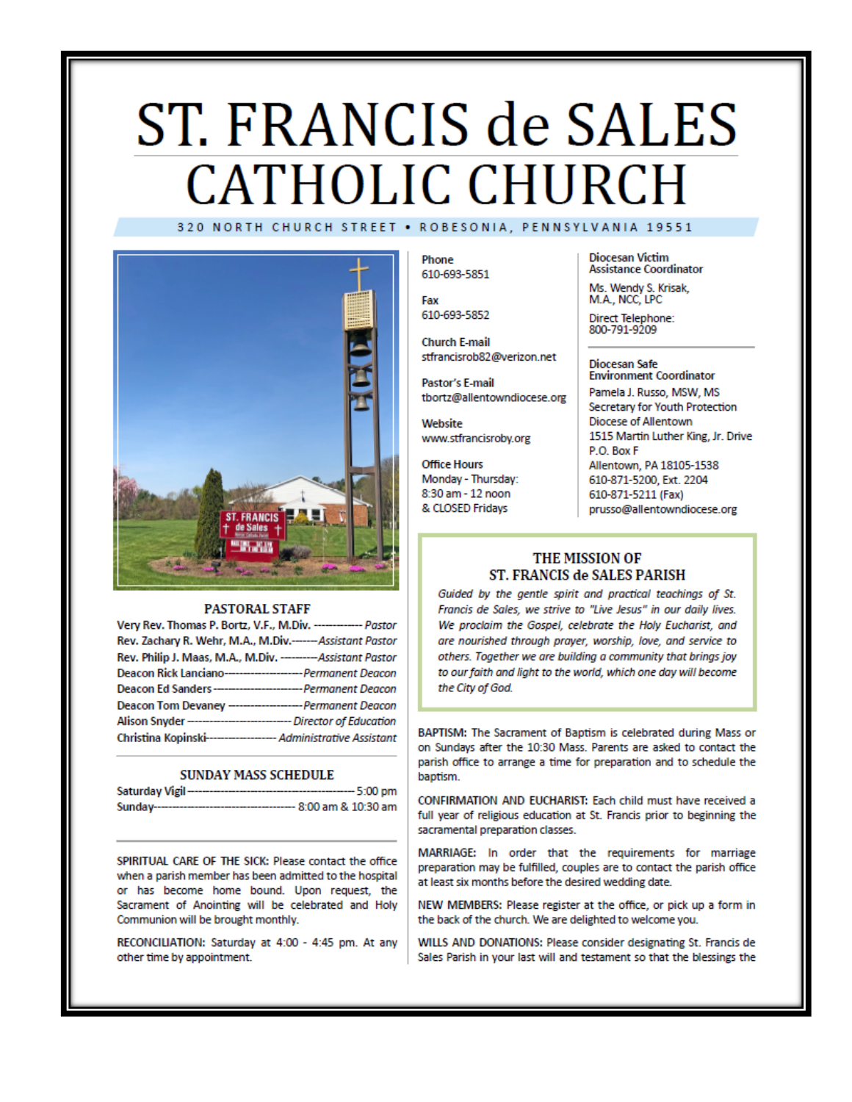# ST. FRANCIS de SALES **CATHOLIC CHURCH** 320 NORTH CHURCH STREET . ROBESONIA, PENNSYLVANIA 19551



#### **PASTORAL STAFF**

| Very Rev. Thomas P. Bortz, V.F., M.Div. ------------- Pastor        |  |
|---------------------------------------------------------------------|--|
| Rev. Zachary R. Wehr, M.A., M.Div.------Assistant Pastor            |  |
| Rev. Philip J. Maas, M.A., M.Div. ---------- Assistant Pastor       |  |
| Deacon Rick Lanciano----------------------- Permanent Deacon        |  |
| Deacon Ed Sanders---------------------------- Permanent Deacon      |  |
| Deacon Tom Devaney --------------------- Permanent Deacon           |  |
| Alison Snyder ------------------------------- Director of Education |  |
| Christina Kopinski------------------- Administrative Assistant      |  |

#### **SUNDAY MASS SCHEDULE**

| Saturday Vigil-<br>------------------------ | ---- 5:00 pm           |
|---------------------------------------------|------------------------|
| Sunday--------------------------            | --- 8:00 am & 10:30 am |

SPIRITUAL CARE OF THE SICK: Please contact the office when a parish member has been admitted to the hospital or has become home bound. Upon request, the Sacrament of Anointing will be celebrated and Holy Communion will be brought monthly.

RECONCILIATION: Saturday at 4:00 - 4:45 pm. At any other time by appointment.

Phone 610-693-5851

Fax 610-693-5852

**Church E-mail** stfrancisrob82@verizon.net

Pastor's E-mail tbortz@allentowndiocese.org

Website www.stfrancisroby.org

**Office Hours** Monday - Thursday: 8:30 am - 12 noon & CLOSED Fridays

**Diocesan Victim Assistance Coordinator** 

Ms. Wendy S. Krisak, M.A., NCC, LPC

Direct Telephone:<br>800-791-9209

#### **Diocesan Safe Environment Coordinator**

Pamela J. Russo, MSW, MS Secretary for Youth Protection Diocese of Allentown 1515 Martin Luther King, Jr. Drive P.O. Box F Allentown, PA 18105-1538 610-871-5200, Ext. 2204 610-871-5211 (Fax) prusso@allentowndiocese.org

### THE MISSION OF ST. FRANCIS de SALES PARISH

Guided by the gentle spirit and practical teachings of St. Francis de Sales, we strive to "Live Jesus" in our daily lives. We proclaim the Gospel, celebrate the Holy Eucharist, and are nourished through prayer, worship, love, and service to others. Together we are building a community that brings joy to our faith and light to the world, which one day will become the City of God.

BAPTISM: The Sacrament of Baptism is celebrated during Mass or on Sundays after the 10:30 Mass. Parents are asked to contact the parish office to arrange a time for preparation and to schedule the baptism.

CONFIRMATION AND EUCHARIST: Each child must have received a full year of religious education at St. Francis prior to beginning the sacramental preparation classes.

MARRIAGE: In order that the requirements for marriage preparation may be fulfilled, couples are to contact the parish office at least six months before the desired wedding date.

NEW MEMBERS: Please register at the office, or pick up a form in the back of the church. We are delighted to welcome you.

WILLS AND DONATIONS: Please consider designating St. Francis de Sales Parish in your last will and testament so that the blessings the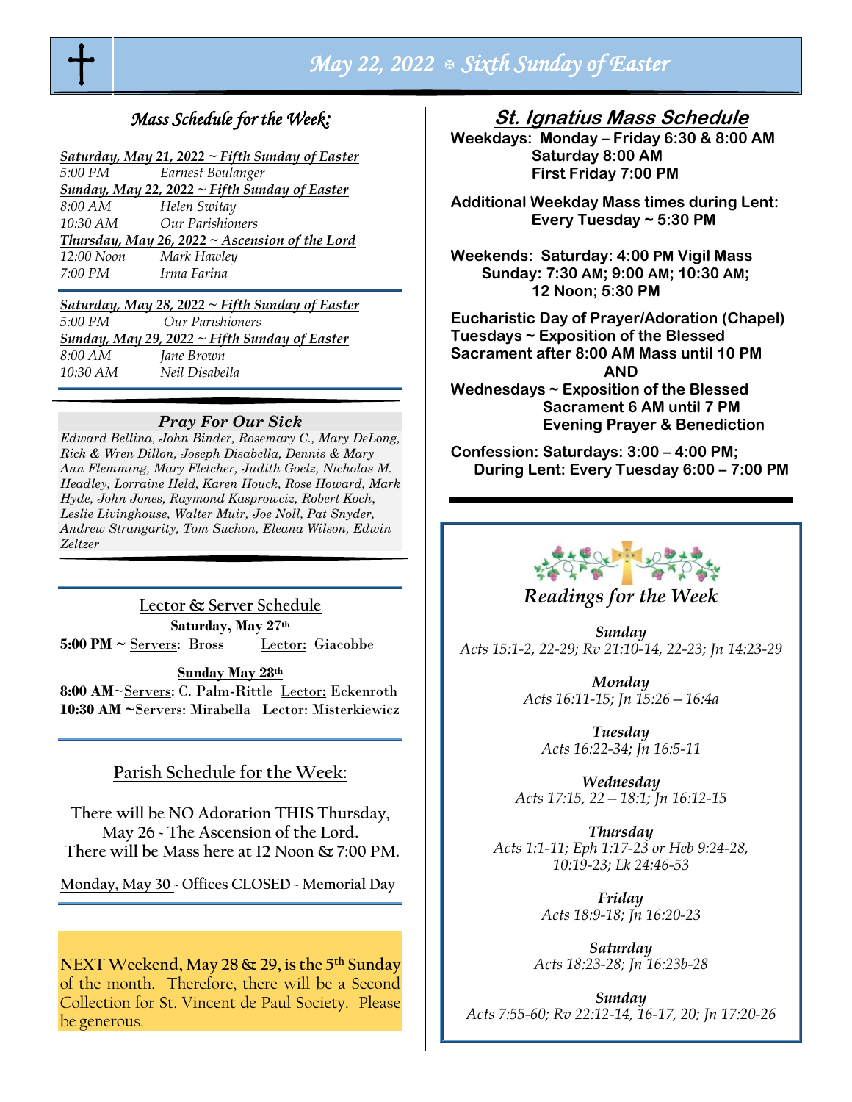

# *May 22, 2022 Sixth Sunday of Easter*

## *Mass Schedule for the Week:*

|                                                  | Saturday, May 21, 2022 ~ Fifth Sunday of Easter      |  |
|--------------------------------------------------|------------------------------------------------------|--|
| 5:00 PM                                          | Earnest Boulanger                                    |  |
|                                                  | <b>Sunday, May 22, 2022 ~ Fifth Sunday of Easter</b> |  |
| 8:00 AM                                          | Helen Switay                                         |  |
| 10:30 AM                                         | Our Parishioners                                     |  |
|                                                  | Thursday, May 26, 2022 $\sim$ Ascension of the Lord  |  |
| 12:00 Noon                                       | Mark Hawley                                          |  |
| 7:00 PM                                          | Irma Farina                                          |  |
| $Saturdau$ May 28, 2022 ~ Fifth Sunday of Faster |                                                      |  |

#### *Saturday, May 28, 2022 ~ Fifth Sunday of Easter*

| 5:00 PM  | Our Parishioners                                   |
|----------|----------------------------------------------------|
|          | Sunday, May 29, 2022 $\sim$ Fifth Sunday of Easter |
| 8:00 AM  | Jane Brown                                         |
| 10:30 AM | Neil Disabella                                     |

#### *Pray For Our Sick*

*Edward Bellina, John Binder, Rosemary C., Mary DeLong, Rick & Wren Dillon, Joseph Disabella, Dennis & Mary Ann Flemming, Mary Fletcher, Judith Goelz, Nicholas M. Headley, Lorraine Held, Karen Houck, Rose Howard, Mark Hyde, John Jones, Raymond Kasprowciz, Robert Koch*, *Leslie Livinghouse, Walter Muir, Joe Noll, Pat Snyder, Andrew Strangarity, Tom Suchon, Eleana Wilson, Edwin Zeltzer*

**Lector & Server Schedule Saturday, May 27th 5:00 PM ~** Servers: Bross Lector: Giacobbe

**Sunday May 28th**

**8:00 AM**~Servers: C. Palm-Rittle Lector: Eckenroth 10:30 AM ~Servers: Mirabella Lector: Misterkiewicz

### **Parish Schedule for the Week:**

**There will be NO Adoration THIS Thursday, May 26 ~ The Ascension of the Lord. There will be Mass here at 12 Noon & 7:00 PM.**

**Monday, May 30 ~ Offices CLOSED ~ Memorial Day**

**NEXT Weekend, May 28 & 29, is the 5th Sunday** of the month. Therefore, there will be a Second Collection for St. Vincent de Paul Society. Please be generous.

### **St. Ignatius Mass Schedule**

**Weekdays: Monday – Friday 6:30 & 8:00 AM Saturday 8:00 AM First Friday 7:00 PM** 

**Additional Weekday Mass times during Lent: Every Tuesday ~ 5:30 PM** 

**Weekends: Saturday: 4:00 PM Vigil Mass Sunday: 7:30 AM; 9:00 AM; 10:30 AM; 12 Noon; 5:30 PM** 

**Eucharistic Day of Prayer/Adoration (Chapel) Tuesdays ~ Exposition of the Blessed Sacrament after 8:00 AM Mass until 10 PM AND Wednesdays ~ Exposition of the Blessed Sacrament 6 AM until 7 PM Evening Prayer & Benediction**

**Confession: Saturdays: 3:00 – 4:00 PM; During Lent: Every Tuesday 6:00 – 7:00 PM**



*Readings for the Week*

*Sunday Acts 15:1-2, 22-29; Rv 21:10-14, 22-23; Jn 14:23-29*

> *Monday Acts 16:11-15; Jn 15:26—16:4a*

*Tuesday Acts 16:22-34; Jn 16:5-11*

*Wednesday Acts 17:15, 22—18:1; Jn 16:12-15* 

*Thursday Acts 1:1-11; Eph 1:17-23 or Heb 9:24-28, 10:19-23; Lk 24:46-53*

> *Friday Acts 18:9-18; Jn 16:20-23*

*Saturday Acts 18:23-28; Jn 16:23b-28*

*Sunday Acts 7:55-60; Rv 22:12-14, 16-17, 20; Jn 17:20-26*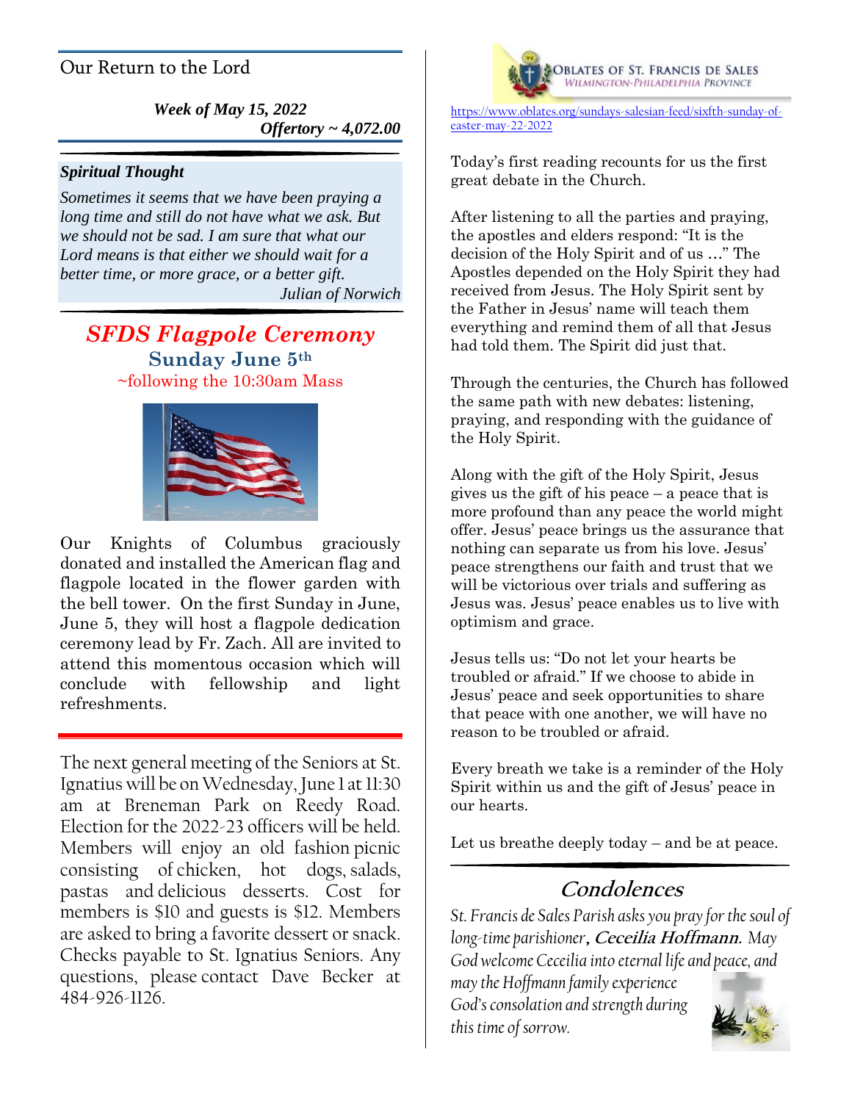# Our Return to the Lord

*Week of May 15, 2022 Offertory ~ 4,072.00*

### *Spiritual Thought*

*Sometimes it seems that we have been praying a long time and still do not have what we ask. But we should not be sad. I am sure that what our Lord means is that either we should wait for a better time, or more grace, or a better gift. Julian of Norwich*

# *SFDS Flagpole Ceremony* **Sunday June 5th** ~following the 10:30am Mass



Our Knights of Columbus graciously donated and installed the American flag and flagpole located in the flower garden with the bell tower. On the first Sunday in June, June 5, they will host a flagpole dedication ceremony lead by Fr. Zach. All are invited to attend this momentous occasion which will conclude with fellowship and light refreshments.

The next general meeting of the Seniors at St. Ignatius will be on Wednesday, June 1 at 11:30 am at Breneman Park on Reedy Road. Election for the 2022-23 officers will be held. Members will enjoy an old fashion picnic consisting of chicken, hot dogs, salads, pastas and delicious desserts. Cost for members is \$10 and guests is \$12. Members are asked to bring a favorite dessert or snack. Checks payable to St. Ignatius Seniors. Any questions, please contact Dave Becker at 484-926-1126.



[https://www.oblates.org/sundays-salesian-feed/sixfth-sunday-of](https://www.oblates.org/sundays-salesian-feed/sixfth-sunday-of-easter-may-22-2022)[easter-may-22-2022](https://www.oblates.org/sundays-salesian-feed/sixfth-sunday-of-easter-may-22-2022)

Today's first reading recounts for us the first great debate in the Church.

After listening to all the parties and praying, the apostles and elders respond: "It is the decision of the Holy Spirit and of us …" The Apostles depended on the Holy Spirit they had received from Jesus. The Holy Spirit sent by the Father in Jesus' name will teach them everything and remind them of all that Jesus had told them. The Spirit did just that.

Through the centuries, the Church has followed the same path with new debates: listening, praying, and responding with the guidance of the Holy Spirit.

Along with the gift of the Holy Spirit, Jesus gives us the gift of his peace – a peace that is more profound than any peace the world might offer. Jesus' peace brings us the assurance that nothing can separate us from his love. Jesus' peace strengthens our faith and trust that we will be victorious over trials and suffering as Jesus was. Jesus' peace enables us to live with optimism and grace.

Jesus tells us: "Do not let your hearts be troubled or afraid." If we choose to abide in Jesus' peace and seek opportunities to share that peace with one another, we will have no reason to be troubled or afraid.

Every breath we take is a reminder of the Holy Spirit within us and the gift of Jesus' peace in our hearts.

Let us breathe deeply today – and be at peace.

# **Condolences**

*St. Francis de Sales Parish asks you pray for the soul of long-time parishioner***, Ceceilia Hoffmann.** *May God welcome Ceceilia into eternal life and peace, and* 

*may the Hoffmann family experience God's consolation and strength during this time of sorrow.*